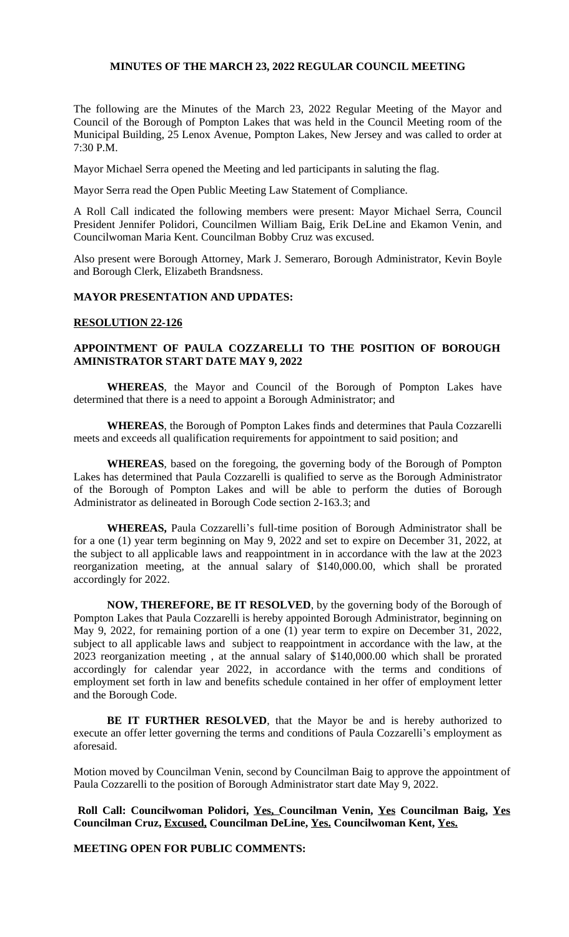# **MINUTES OF THE MARCH 23, 2022 REGULAR COUNCIL MEETING**

The following are the Minutes of the March 23, 2022 Regular Meeting of the Mayor and Council of the Borough of Pompton Lakes that was held in the Council Meeting room of the Municipal Building, 25 Lenox Avenue, Pompton Lakes, New Jersey and was called to order at 7:30 P.M.

Mayor Michael Serra opened the Meeting and led participants in saluting the flag.

Mayor Serra read the Open Public Meeting Law Statement of Compliance.

A Roll Call indicated the following members were present: Mayor Michael Serra, Council President Jennifer Polidori, Councilmen William Baig, Erik DeLine and Ekamon Venin, and Councilwoman Maria Kent. Councilman Bobby Cruz was excused.

Also present were Borough Attorney, Mark J. Semeraro, Borough Administrator, Kevin Boyle and Borough Clerk, Elizabeth Brandsness.

# **MAYOR PRESENTATION AND UPDATES:**

#### **RESOLUTION 22-126**

# **APPOINTMENT OF PAULA COZZARELLI TO THE POSITION OF BOROUGH AMINISTRATOR START DATE MAY 9, 2022**

**WHEREAS**, the Mayor and Council of the Borough of Pompton Lakes have determined that there is a need to appoint a Borough Administrator; and

**WHEREAS**, the Borough of Pompton Lakes finds and determines that Paula Cozzarelli meets and exceeds all qualification requirements for appointment to said position; and

**WHEREAS**, based on the foregoing, the governing body of the Borough of Pompton Lakes has determined that Paula Cozzarelli is qualified to serve as the Borough Administrator of the Borough of Pompton Lakes and will be able to perform the duties of Borough Administrator as delineated in Borough Code section 2-163.3; and

**WHEREAS,** Paula Cozzarelli's full-time position of Borough Administrator shall be for a one (1) year term beginning on May 9, 2022 and set to expire on December 31, 2022, at the subject to all applicable laws and reappointment in in accordance with the law at the 2023 reorganization meeting, at the annual salary of \$140,000.00, which shall be prorated accordingly for 2022.

**NOW, THEREFORE, BE IT RESOLVED**, by the governing body of the Borough of Pompton Lakes that Paula Cozzarelli is hereby appointed Borough Administrator, beginning on May 9, 2022, for remaining portion of a one (1) year term to expire on December 31, 2022, subject to all applicable laws and subject to reappointment in accordance with the law, at the 2023 reorganization meeting , at the annual salary of \$140,000.00 which shall be prorated accordingly for calendar year 2022, in accordance with the terms and conditions of employment set forth in law and benefits schedule contained in her offer of employment letter and the Borough Code.

**BE IT FURTHER RESOLVED**, that the Mayor be and is hereby authorized to execute an offer letter governing the terms and conditions of Paula Cozzarelli's employment as aforesaid.

Motion moved by Councilman Venin, second by Councilman Baig to approve the appointment of Paula Cozzarelli to the position of Borough Administrator start date May 9, 2022.

**Roll Call: Councilwoman Polidori, Yes, Councilman Venin, Yes Councilman Baig, Yes Councilman Cruz, Excused, Councilman DeLine, Yes. Councilwoman Kent, Yes.**

 **MEETING OPEN FOR PUBLIC COMMENTS:**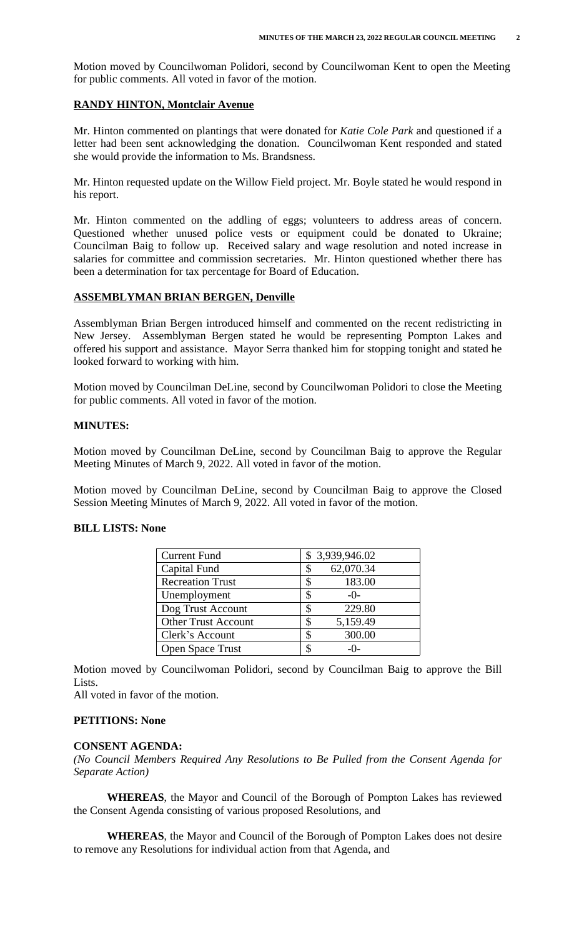Motion moved by Councilwoman Polidori, second by Councilwoman Kent to open the Meeting for public comments. All voted in favor of the motion.

## **RANDY HINTON, Montclair Avenue**

Mr. Hinton commented on plantings that were donated for *Katie Cole Park* and questioned if a letter had been sent acknowledging the donation. Councilwoman Kent responded and stated she would provide the information to Ms. Brandsness.

Mr. Hinton requested update on the Willow Field project. Mr. Boyle stated he would respond in his report.

Mr. Hinton commented on the addling of eggs; volunteers to address areas of concern. Questioned whether unused police vests or equipment could be donated to Ukraine; Councilman Baig to follow up. Received salary and wage resolution and noted increase in salaries for committee and commission secretaries. Mr. Hinton questioned whether there has been a determination for tax percentage for Board of Education.

## **ASSEMBLYMAN BRIAN BERGEN, Denville**

Assemblyman Brian Bergen introduced himself and commented on the recent redistricting in New Jersey. Assemblyman Bergen stated he would be representing Pompton Lakes and offered his support and assistance. Mayor Serra thanked him for stopping tonight and stated he looked forward to working with him.

Motion moved by Councilman DeLine, second by Councilwoman Polidori to close the Meeting for public comments. All voted in favor of the motion.

#### **MINUTES:**

Motion moved by Councilman DeLine, second by Councilman Baig to approve the Regular Meeting Minutes of March 9, 2022. All voted in favor of the motion.

Motion moved by Councilman DeLine, second by Councilman Baig to approve the Closed Session Meeting Minutes of March 9, 2022. All voted in favor of the motion.

## **BILL LISTS: None**

| <b>Current Fund</b>        | \$3,939,946.02         |
|----------------------------|------------------------|
| Capital Fund               | 62,070.34<br>\$        |
| <b>Recreation Trust</b>    | 183.00                 |
| Unemployment               | S<br>$-()$             |
| Dog Trust Account          | 229.80<br>\$           |
| <b>Other Trust Account</b> | 5,159.49<br>S          |
| Clerk's Account            | 300.00<br>S            |
| <b>Open Space Trust</b>    | $\mathcal{F}$<br>$-()$ |

Motion moved by Councilwoman Polidori, second by Councilman Baig to approve the Bill Lists.

All voted in favor of the motion.

# **PETITIONS: None**

#### **CONSENT AGENDA:**

*(No Council Members Required Any Resolutions to Be Pulled from the Consent Agenda for Separate Action)*

**WHEREAS**, the Mayor and Council of the Borough of Pompton Lakes has reviewed the Consent Agenda consisting of various proposed Resolutions, and

**WHEREAS**, the Mayor and Council of the Borough of Pompton Lakes does not desire to remove any Resolutions for individual action from that Agenda, and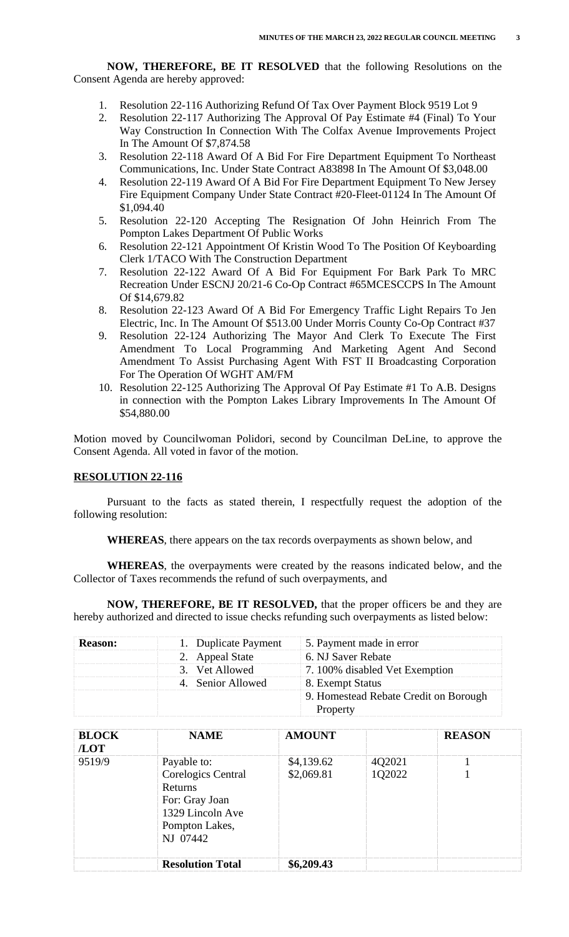**NOW, THEREFORE, BE IT RESOLVED** that the following Resolutions on the Consent Agenda are hereby approved:

- 1. Resolution 22-116 Authorizing Refund Of Tax Over Payment Block 9519 Lot 9
- 2. Resolution 22-117 Authorizing The Approval Of Pay Estimate #4 (Final) To Your Way Construction In Connection With The Colfax Avenue Improvements Project In The Amount Of \$7,874.58
- 3. Resolution 22-118 Award Of A Bid For Fire Department Equipment To Northeast Communications, Inc. Under State Contract A83898 In The Amount Of \$3,048.00
- 4. Resolution 22-119 Award Of A Bid For Fire Department Equipment To New Jersey Fire Equipment Company Under State Contract #20-Fleet-01124 In The Amount Of \$1,094.40
- 5. Resolution 22-120 Accepting The Resignation Of John Heinrich From The Pompton Lakes Department Of Public Works
- 6. Resolution 22-121 Appointment Of Kristin Wood To The Position Of Keyboarding Clerk 1/TACO With The Construction Department
- 7. Resolution 22-122 Award Of A Bid For Equipment For Bark Park To MRC Recreation Under ESCNJ 20/21-6 Co-Op Contract #65MCESCCPS In The Amount Of \$14,679.82
- 8. Resolution 22-123 Award Of A Bid For Emergency Traffic Light Repairs To Jen Electric, Inc. In The Amount Of \$513.00 Under Morris County Co-Op Contract #37
- 9. Resolution 22-124 Authorizing The Mayor And Clerk To Execute The First Amendment To Local Programming And Marketing Agent And Second Amendment To Assist Purchasing Agent With FST II Broadcasting Corporation For The Operation Of WGHT AM/FM
- 10. Resolution 22-125 Authorizing The Approval Of Pay Estimate #1 To A.B. Designs in connection with the Pompton Lakes Library Improvements In The Amount Of \$54,880.00

Motion moved by Councilwoman Polidori, second by Councilman DeLine, to approve the Consent Agenda. All voted in favor of the motion.

## **RESOLUTION 22-116**

Pursuant to the facts as stated therein, I respectfully request the adoption of the following resolution:

**WHEREAS**, there appears on the tax records overpayments as shown below, and

**WHEREAS**, the overpayments were created by the reasons indicated below, and the Collector of Taxes recommends the refund of such overpayments, and

**NOW, THEREFORE, BE IT RESOLVED,** that the proper officers be and they are hereby authorized and directed to issue checks refunding such overpayments as listed below:

|  |  |                | Duplicate Payment 5. Payment made in error |                                |  |
|--|--|----------------|--------------------------------------------|--------------------------------|--|
|  |  |                | 6. NJ Saver Rebate                         |                                |  |
|  |  |                | 3. Vet Allowed                             | 1. 100% disabled Vet Exemption |  |
|  |  | Senior Allowed | 8. Exempt Status                           |                                |  |
|  |  |                | 9. Homestead Rebate Credit on Borough      |                                |  |

| <b>BLOCK</b><br>/LOT | <b>NAME</b>                                                                                                             | <b>AMOUNT</b>            |                  | <b>REASON</b> |
|----------------------|-------------------------------------------------------------------------------------------------------------------------|--------------------------|------------------|---------------|
| 9519/9               | Payable to:<br><b>Corelogics Central</b><br>Returns<br>For: Gray Joan<br>1329 Lincoln Ave<br>Pompton Lakes,<br>NJ 07442 | \$4,139.62<br>\$2,069.81 | 4Q2021<br>1Q2022 |               |
|                      | <b>Resolution Total</b>                                                                                                 | \$6,209.43               |                  |               |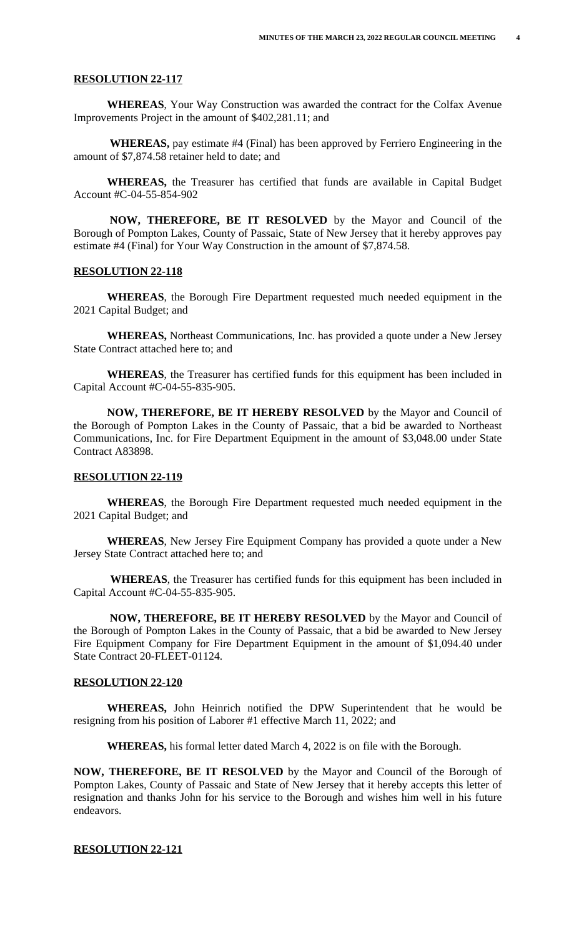## **RESOLUTION 22-117**

**WHEREAS**, Your Way Construction was awarded the contract for the Colfax Avenue Improvements Project in the amount of \$402,281.11; and

 **WHEREAS,** pay estimate #4 (Final) has been approved by Ferriero Engineering in the amount of \$7,874.58 retainer held to date; and

**WHEREAS,** the Treasurer has certified that funds are available in Capital Budget Account #C-04-55-854-902

 **NOW, THEREFORE, BE IT RESOLVED** by the Mayor and Council of the Borough of Pompton Lakes, County of Passaic, State of New Jersey that it hereby approves pay estimate #4 (Final) for Your Way Construction in the amount of \$7,874.58.

# **RESOLUTION 22-118**

 **WHEREAS**, the Borough Fire Department requested much needed equipment in the 2021 Capital Budget; and

 **WHEREAS,** Northeast Communications, Inc. has provided a quote under a New Jersey State Contract attached here to; and

 **WHEREAS**, the Treasurer has certified funds for this equipment has been included in Capital Account #C-04-55-835-905.

 **NOW, THEREFORE, BE IT HEREBY RESOLVED** by the Mayor and Council of the Borough of Pompton Lakes in the County of Passaic, that a bid be awarded to Northeast Communications, Inc. for Fire Department Equipment in the amount of \$3,048.00 under State Contract A83898.

#### **RESOLUTION 22-119**

**WHEREAS**, the Borough Fire Department requested much needed equipment in the 2021 Capital Budget; and

 **WHEREAS**, New Jersey Fire Equipment Company has provided a quote under a New Jersey State Contract attached here to; and

 **WHEREAS**, the Treasurer has certified funds for this equipment has been included in Capital Account #C-04-55-835-905.

 **NOW, THEREFORE, BE IT HEREBY RESOLVED** by the Mayor and Council of the Borough of Pompton Lakes in the County of Passaic, that a bid be awarded to New Jersey Fire Equipment Company for Fire Department Equipment in the amount of \$1,094.40 under State Contract 20-FLEET-01124.

#### **RESOLUTION 22-120**

**WHEREAS,** John Heinrich notified the DPW Superintendent that he would be resigning from his position of Laborer #1 effective March 11, 2022; and

**WHEREAS,** his formal letter dated March 4, 2022 is on file with the Borough.

**NOW, THEREFORE, BE IT RESOLVED** by the Mayor and Council of the Borough of Pompton Lakes, County of Passaic and State of New Jersey that it hereby accepts this letter of resignation and thanks John for his service to the Borough and wishes him well in his future endeavors.

#### **RESOLUTION 22-121**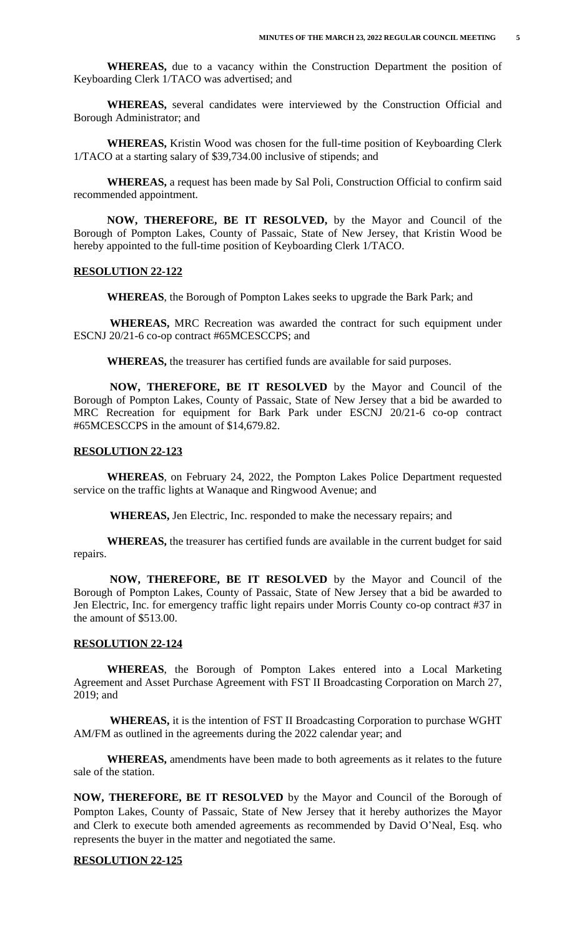**WHEREAS,** due to a vacancy within the Construction Department the position of Keyboarding Clerk 1/TACO was advertised; and

**WHEREAS,** several candidates were interviewed by the Construction Official and Borough Administrator; and

**WHEREAS,** Kristin Wood was chosen for the full-time position of Keyboarding Clerk 1/TACO at a starting salary of \$39,734.00 inclusive of stipends; and

**WHEREAS,** a request has been made by Sal Poli, Construction Official to confirm said recommended appointment.

**NOW, THEREFORE, BE IT RESOLVED,** by the Mayor and Council of the Borough of Pompton Lakes, County of Passaic, State of New Jersey, that Kristin Wood be hereby appointed to the full-time position of Keyboarding Clerk 1/TACO.

#### **RESOLUTION 22-122**

**WHEREAS**, the Borough of Pompton Lakes seeks to upgrade the Bark Park; and

 **WHEREAS,** MRC Recreation was awarded the contract for such equipment under ESCNJ 20/21-6 co-op contract #65MCESCCPS; and

**WHEREAS,** the treasurer has certified funds are available for said purposes.

 **NOW, THEREFORE, BE IT RESOLVED** by the Mayor and Council of the Borough of Pompton Lakes, County of Passaic, State of New Jersey that a bid be awarded to MRC Recreation for equipment for Bark Park under ESCNJ 20/21-6 co-op contract #65MCESCCPS in the amount of \$14,679.82.

## **RESOLUTION 22-123**

**WHEREAS**, on February 24, 2022, the Pompton Lakes Police Department requested service on the traffic lights at Wanaque and Ringwood Avenue; and

**WHEREAS,** Jen Electric, Inc. responded to make the necessary repairs; and

 **WHEREAS,** the treasurer has certified funds are available in the current budget for said repairs.

 **NOW, THEREFORE, BE IT RESOLVED** by the Mayor and Council of the Borough of Pompton Lakes, County of Passaic, State of New Jersey that a bid be awarded to Jen Electric, Inc. for emergency traffic light repairs under Morris County co-op contract #37 in the amount of \$513.00.

#### **RESOLUTION 22-124**

**WHEREAS**, the Borough of Pompton Lakes entered into a Local Marketing Agreement and Asset Purchase Agreement with FST II Broadcasting Corporation on March 27, 2019; and

 **WHEREAS,** it is the intention of FST II Broadcasting Corporation to purchase WGHT AM/FM as outlined in the agreements during the 2022 calendar year; and

 **WHEREAS,** amendments have been made to both agreements as it relates to the future sale of the station.

**NOW, THEREFORE, BE IT RESOLVED** by the Mayor and Council of the Borough of Pompton Lakes, County of Passaic, State of New Jersey that it hereby authorizes the Mayor and Clerk to execute both amended agreements as recommended by David O'Neal, Esq. who represents the buyer in the matter and negotiated the same.

## **RESOLUTION 22-125**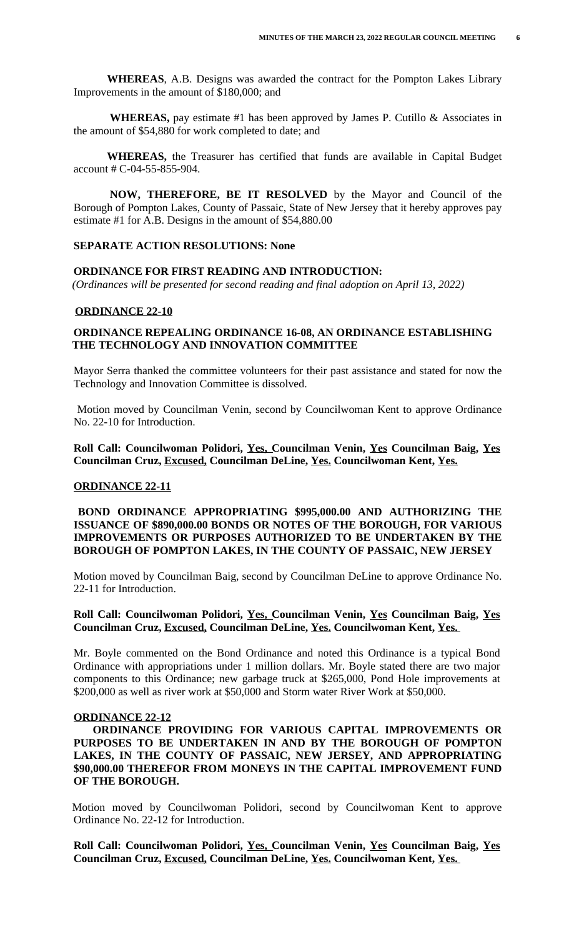**WHEREAS**, A.B. Designs was awarded the contract for the Pompton Lakes Library Improvements in the amount of \$180,000; and

**WHEREAS,** pay estimate #1 has been approved by James P. Cutillo  $\&$  Associates in the amount of \$54,880 for work completed to date; and

 **WHEREAS,** the Treasurer has certified that funds are available in Capital Budget account # C-04-55-855-904.

 **NOW, THEREFORE, BE IT RESOLVED** by the Mayor and Council of the Borough of Pompton Lakes, County of Passaic, State of New Jersey that it hereby approves pay estimate #1 for A.B. Designs in the amount of \$54,880.00

#### **SEPARATE ACTION RESOLUTIONS: None**

#### **ORDINANCE FOR FIRST READING AND INTRODUCTION:**

 *(Ordinances will be presented for second reading and final adoption on April 13, 2022)*

#### **ORDINANCE 22-10**

# **ORDINANCE REPEALING ORDINANCE 16-08, AN ORDINANCE ESTABLISHING THE TECHNOLOGY AND INNOVATION COMMITTEE**

Mayor Serra thanked the committee volunteers for their past assistance and stated for now the Technology and Innovation Committee is dissolved.

Motion moved by Councilman Venin, second by Councilwoman Kent to approve Ordinance No. 22-10 for Introduction.

**Roll Call: Councilwoman Polidori, Yes, Councilman Venin, Yes Councilman Baig, Yes Councilman Cruz, Excused, Councilman DeLine, Yes. Councilwoman Kent, Yes.**

#### **ORDINANCE 22-11**

## **BOND ORDINANCE APPROPRIATING \$995,000.00 AND AUTHORIZING THE ISSUANCE OF \$890,000.00 BONDS OR NOTES OF THE BOROUGH, FOR VARIOUS IMPROVEMENTS OR PURPOSES AUTHORIZED TO BE UNDERTAKEN BY THE BOROUGH OF POMPTON LAKES, IN THE COUNTY OF PASSAIC, NEW JERSEY**

Motion moved by Councilman Baig, second by Councilman DeLine to approve Ordinance No. 22-11 for Introduction.

## **Roll Call: Councilwoman Polidori, Yes, Councilman Venin, Yes Councilman Baig, Yes Councilman Cruz, Excused, Councilman DeLine, Yes. Councilwoman Kent, Yes.**

Mr. Boyle commented on the Bond Ordinance and noted this Ordinance is a typical Bond Ordinance with appropriations under 1 million dollars. Mr. Boyle stated there are two major components to this Ordinance; new garbage truck at \$265,000, Pond Hole improvements at \$200,000 as well as river work at \$50,000 and Storm water River Work at \$50,000.

#### **ORDINANCE 22-12**

**ORDINANCE PROVIDING FOR VARIOUS CAPITAL IMPROVEMENTS OR PURPOSES TO BE UNDERTAKEN IN AND BY THE BOROUGH OF POMPTON LAKES, IN THE COUNTY OF PASSAIC, NEW JERSEY, AND APPROPRIATING \$90,000.00 THEREFOR FROM MONEYS IN THE CAPITAL IMPROVEMENT FUND OF THE BOROUGH.**

Motion moved by Councilwoman Polidori, second by Councilwoman Kent to approve Ordinance No. 22-12 for Introduction.

**Roll Call: Councilwoman Polidori, Yes, Councilman Venin, Yes Councilman Baig, Yes Councilman Cruz, Excused, Councilman DeLine, Yes. Councilwoman Kent, Yes.**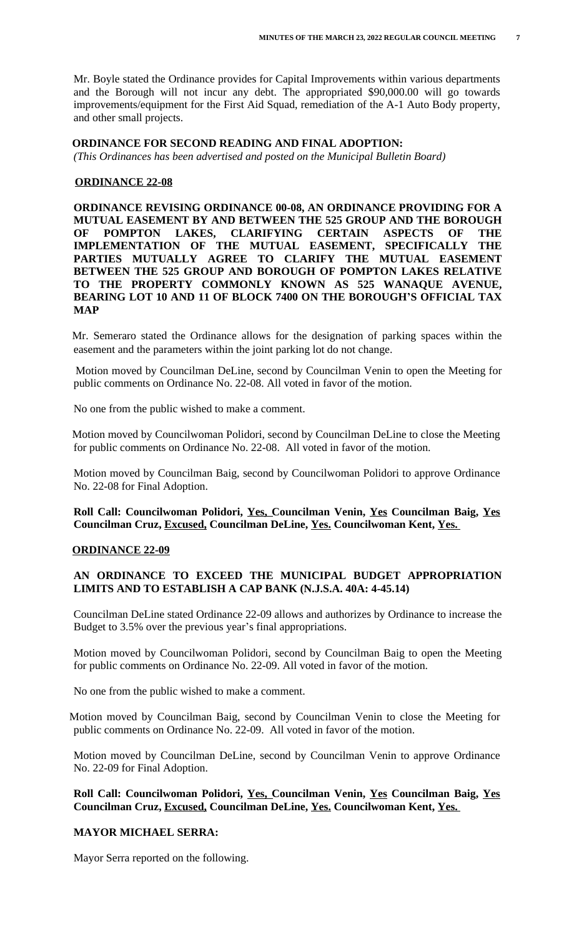Mr. Boyle stated the Ordinance provides for Capital Improvements within various departments and the Borough will not incur any debt. The appropriated \$90,000.00 will go towards improvements/equipment for the First Aid Squad, remediation of the A-1 Auto Body property, and other small projects.

## **ORDINANCE FOR SECOND READING AND FINAL ADOPTION:**

*(This Ordinances has been advertised and posted on the Municipal Bulletin Board)*

## **ORDINANCE 22-08**

**ORDINANCE REVISING ORDINANCE 00-08, AN ORDINANCE PROVIDING FOR A MUTUAL EASEMENT BY AND BETWEEN THE 525 GROUP AND THE BOROUGH OF POMPTON LAKES, CLARIFYING CERTAIN ASPECTS OF THE IMPLEMENTATION OF THE MUTUAL EASEMENT, SPECIFICALLY THE PARTIES MUTUALLY AGREE TO CLARIFY THE MUTUAL EASEMENT BETWEEN THE 525 GROUP AND BOROUGH OF POMPTON LAKES RELATIVE TO THE PROPERTY COMMONLY KNOWN AS 525 WANAQUE AVENUE, BEARING LOT 10 AND 11 OF BLOCK 7400 ON THE BOROUGH'S OFFICIAL TAX MAP**

Mr. Semeraro stated the Ordinance allows for the designation of parking spaces within the easement and the parameters within the joint parking lot do not change.

Motion moved by Councilman DeLine, second by Councilman Venin to open the Meeting for public comments on Ordinance No. 22-08. All voted in favor of the motion.

No one from the public wished to make a comment.

Motion moved by Councilwoman Polidori, second by Councilman DeLine to close the Meeting for public comments on Ordinance No. 22-08. All voted in favor of the motion.

Motion moved by Councilman Baig, second by Councilwoman Polidori to approve Ordinance No. 22-08 for Final Adoption.

**Roll Call: Councilwoman Polidori, Yes, Councilman Venin, Yes Councilman Baig, Yes Councilman Cruz, Excused, Councilman DeLine, Yes. Councilwoman Kent, Yes.** 

## **ORDINANCE 22-09**

# **AN ORDINANCE TO EXCEED THE MUNICIPAL BUDGET APPROPRIATION LIMITS AND TO ESTABLISH A CAP BANK (N.J.S.A. 40A: 4-45.14)**

Councilman DeLine stated Ordinance 22-09 allows and authorizes by Ordinance to increase the Budget to 3.5% over the previous year's final appropriations.

Motion moved by Councilwoman Polidori, second by Councilman Baig to open the Meeting for public comments on Ordinance No. 22-09. All voted in favor of the motion.

No one from the public wished to make a comment.

Motion moved by Councilman Baig, second by Councilman Venin to close the Meeting for public comments on Ordinance No. 22-09. All voted in favor of the motion.

Motion moved by Councilman DeLine, second by Councilman Venin to approve Ordinance No. 22-09 for Final Adoption.

**Roll Call: Councilwoman Polidori, Yes, Councilman Venin, Yes Councilman Baig, Yes Councilman Cruz, Excused, Councilman DeLine, Yes. Councilwoman Kent, Yes.** 

## **MAYOR MICHAEL SERRA:**

Mayor Serra reported on the following.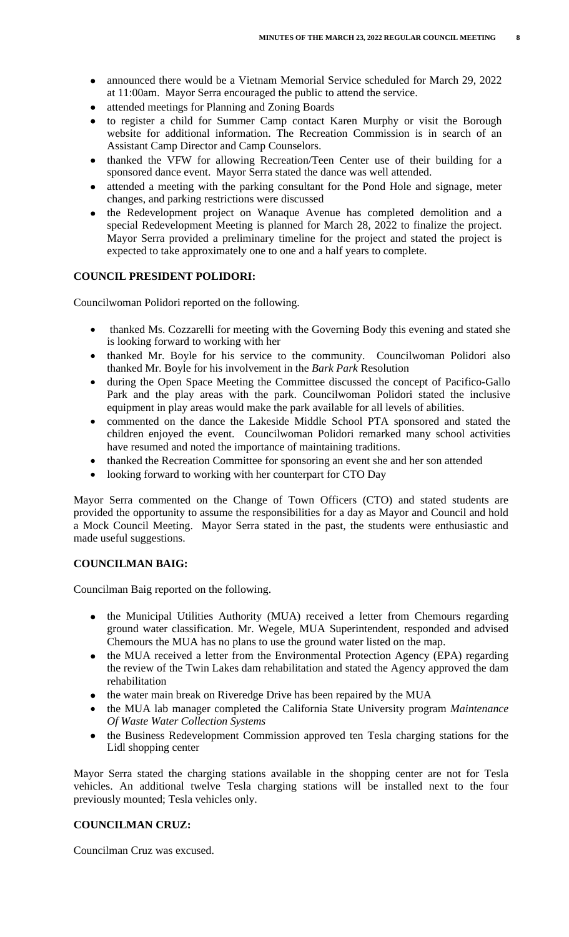- announced there would be a Vietnam Memorial Service scheduled for March 29, 2022 at 11:00am. Mayor Serra encouraged the public to attend the service.
- attended meetings for Planning and Zoning Boards
- to register a child for Summer Camp contact Karen Murphy or visit the Borough website for additional information. The Recreation Commission is in search of an Assistant Camp Director and Camp Counselors.
- thanked the VFW for allowing Recreation/Teen Center use of their building for a sponsored dance event. Mayor Serra stated the dance was well attended.
- attended a meeting with the parking consultant for the Pond Hole and signage, meter changes, and parking restrictions were discussed
- the Redevelopment project on Wanaque Avenue has completed demolition and a special Redevelopment Meeting is planned for March 28, 2022 to finalize the project. Mayor Serra provided a preliminary timeline for the project and stated the project is expected to take approximately one to one and a half years to complete.

# **COUNCIL PRESIDENT POLIDORI:**

Councilwoman Polidori reported on the following.

- thanked Ms. Cozzarelli for meeting with the Governing Body this evening and stated she is looking forward to working with her
- thanked Mr. Boyle for his service to the community. Councilwoman Polidori also thanked Mr. Boyle for his involvement in the *Bark Park* Resolution
- during the Open Space Meeting the Committee discussed the concept of Pacifico-Gallo Park and the play areas with the park. Councilwoman Polidori stated the inclusive equipment in play areas would make the park available for all levels of abilities.
- commented on the dance the Lakeside Middle School PTA sponsored and stated the children enjoyed the event. Councilwoman Polidori remarked many school activities have resumed and noted the importance of maintaining traditions.
- thanked the Recreation Committee for sponsoring an event she and her son attended
- looking forward to working with her counterpart for CTO Day

Mayor Serra commented on the Change of Town Officers (CTO) and stated students are provided the opportunity to assume the responsibilities for a day as Mayor and Council and hold a Mock Council Meeting. Mayor Serra stated in the past, the students were enthusiastic and made useful suggestions.

# **COUNCILMAN BAIG:**

Councilman Baig reported on the following.

- the Municipal Utilities Authority (MUA) received a letter from Chemours regarding ground water classification. Mr. Wegele, MUA Superintendent, responded and advised Chemours the MUA has no plans to use the ground water listed on the map.
- the MUA received a letter from the Environmental Protection Agency (EPA) regarding the review of the Twin Lakes dam rehabilitation and stated the Agency approved the dam rehabilitation
- the water main break on Riveredge Drive has been repaired by the MUA
- the MUA lab manager completed the California State University program *Maintenance Of Waste Water Collection Systems*
- the Business Redevelopment Commission approved ten Tesla charging stations for the Lidl shopping center

Mayor Serra stated the charging stations available in the shopping center are not for Tesla vehicles. An additional twelve Tesla charging stations will be installed next to the four previously mounted; Tesla vehicles only.

# **COUNCILMAN CRUZ:**

Councilman Cruz was excused.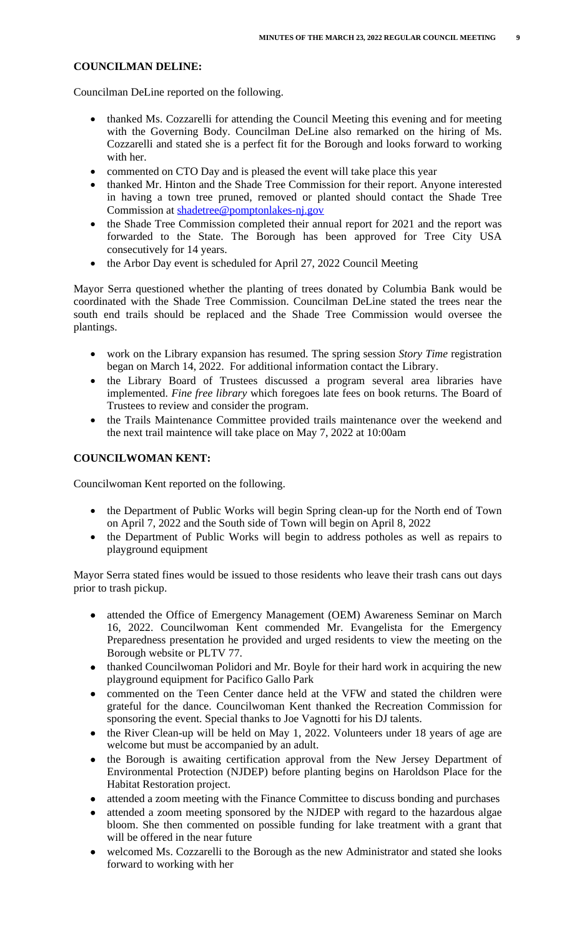- in having a town tree pruned, removed or planted should contact the Shade Tree Commission at shadetree@pomptonlakes-nj.gov
- the Shade Tree Commission completed their annual report for 2021 and the report was forwarded to the State. The Borough has been approved for Tree City USA consecutively for 14 years.
- the Arbor Day event is scheduled for April 27, 2022 Council Meeting

Mayor Serra questioned whether the planting of trees donated by Columbia Bank would be coordinated with the Shade Tree Commission. Councilman DeLine stated the trees near the south end trails should be replaced and the Shade Tree Commission would oversee the plantings.

- work on the Library expansion has resumed. The spring session *Story Time* registration began on March 14, 2022. For additional information contact the Library.
- the Library Board of Trustees discussed a program several area libraries have implemented. *Fine free library* which foregoes late fees on book returns. The Board of Trustees to revi[ew and consider the program.](mailto:shadetree@pomptonlakes-nj.gov)
- the Trails Maintenance Committee provided trails maintenance over the weekend and the next trail maintence will take place on May 7, 2022 at 10:00am

# **COUNCILWOMAN KENT:**

Councilwoman Kent reported on the following.

- the Department of Public Works will begin Spring clean-up for the North end of Town on April 7, 2022 and the South side of Town will begin on April 8, 2022
- the Department of Public Works will begin to address potholes as well as repairs to playground equipment

Mayor Serra stated fines would be issued to those residents who leave their trash cans out days prior to trash pickup.

- attended the Office of Emergency Management (OEM) Awareness Seminar on March 16, 2022. Councilwoman Kent commended Mr. Evangelista for the Emergency Preparedness presentation he provided and urged residents to view the meeting on the Borough website or PLTV 77.
- thanked Councilwoman Polidori and Mr. Boyle for their hard work in acquiring the new playground equipment for Pacifico Gallo Park
- commented on the Teen Center dance held at the VFW and stated the children were grateful for the dance. Councilwoman Kent thanked the Recreation Commission for sponsoring the event. Special thanks to Joe Vagnotti for his DJ talents.
- the River Clean-up will be held on May 1, 2022. Volunteers under 18 years of age are welcome but must be accompanied by an adult.
- the Borough is awaiting certification approval from the New Jersey Department of Environmental Protection (NJDEP) before planting begins on Haroldson Place for the Habitat Restoration project.
- attended a zoom meeting with the Finance Committee to discuss bonding and purchases
- attended a zoom meeting sponsored by the NJDEP with regard to the hazardous algae bloom. She then commented on possible funding for lake treatment with a grant that will be offered in the near future
- welcomed Ms. Cozzarelli to the Borough as the new Administrator and stated she looks forward to working with her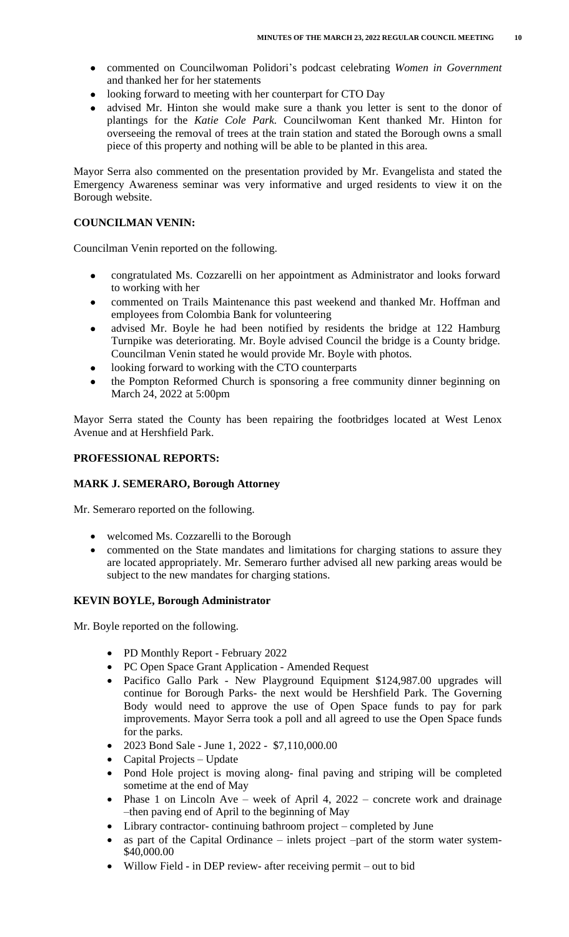- commented on Councilwoman Polidori's podcast celebrating *Women in Government* and thanked her for her statements
- looking forward to meeting with her counterpart for CTO Day
- advised Mr. Hinton she would make sure a thank you letter is sent to the donor of plantings for the *Katie Cole Park.* Councilwoman Kent thanked Mr. Hinton for overseeing the removal of trees at the train station and stated the Borough owns a small piece of this property and nothing will be able to be planted in this area.

Mayor Serra also commented on the presentation provided by Mr. Evangelista and stated the Emergency Awareness seminar was very informative and urged residents to view it on the Borough website.

# **COUNCILMAN VENIN:**

Councilman Venin reported on the following.

- congratulated Ms. Cozzarelli on her appointment as Administrator and looks forward to working with her
- commented on Trails Maintenance this past weekend and thanked Mr. Hoffman and employees from Colombia Bank for volunteering
- advised Mr. Boyle he had been notified by residents the bridge at 122 Hamburg Turnpike was deteriorating. Mr. Boyle advised Council the bridge is a County bridge. Councilman Venin stated he would provide Mr. Boyle with photos.
- looking forward to working with the CTO counterparts
- the Pompton Reformed Church is sponsoring a free community dinner beginning on March 24, 2022 at 5:00pm

Mayor Serra stated the County has been repairing the footbridges located at West Lenox Avenue and at Hershfield Park.

# **PROFESSIONAL REPORTS:**

# **MARK J. SEMERARO, Borough Attorney**

Mr. Semeraro reported on the following.

- welcomed Ms. Cozzarelli to the Borough
- commented on the State mandates and limitations for charging stations to assure they are located appropriately. Mr. Semeraro further advised all new parking areas would be subject to the new mandates for charging stations.

# **KEVIN BOYLE, Borough Administrator**

Mr. Boyle reported on the following.

- PD Monthly Report February 2022
- PC Open Space Grant Application Amended Request
- Pacifico Gallo Park New Playground Equipment \$124,987.00 upgrades will continue for Borough Parks- the next would be Hershfield Park. The Governing Body would need to approve the use of Open Space funds to pay for park improvements. Mayor Serra took a poll and all agreed to use the Open Space funds for the parks.
- 2023 Bond Sale June 1, 2022 \$7,110,000.00
- Capital Projects Update
- Pond Hole project is moving along- final paving and striping will be completed sometime at the end of May
- Phase 1 on Lincoln Ave week of April 4, 2022 concrete work and drainage –then paving end of April to the beginning of May
- Library contractor- continuing bathroom project completed by June
- as part of the Capital Ordinance inlets project –part of the storm water system- \$40,000.00
- Willow Field in DEP review- after receiving permit out to bid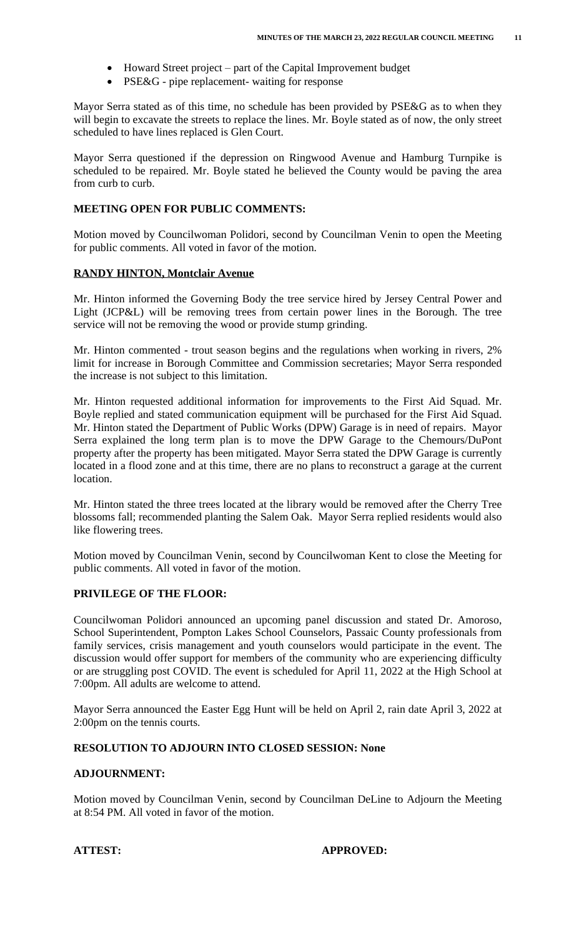- Howard Street project part of the Capital Improvement budget
- PSE&G pipe replacement- waiting for response

Mayor Serra stated as of this time, no schedule has been provided by PSE&G as to when they will begin to excavate the streets to replace the lines. Mr. Boyle stated as of now, the only street scheduled to have lines replaced is Glen Court.

Mayor Serra questioned if the depression on Ringwood Avenue and Hamburg Turnpike is scheduled to be repaired. Mr. Boyle stated he believed the County would be paving the area from curb to curb.

# **MEETING OPEN FOR PUBLIC COMMENTS:**

Motion moved by Councilwoman Polidori, second by Councilman Venin to open the Meeting for public comments. All voted in favor of the motion.

## **RANDY HINTON, Montclair Avenue**

Mr. Hinton informed the Governing Body the tree service hired by Jersey Central Power and Light (JCP&L) will be removing trees from certain power lines in the Borough. The tree service will not be removing the wood or provide stump grinding.

Mr. Hinton commented - trout season begins and the regulations when working in rivers, 2% limit for increase in Borough Committee and Commission secretaries; Mayor Serra responded the increase is not subject to this limitation.

Mr. Hinton requested additional information for improvements to the First Aid Squad. Mr. Boyle replied and stated communication equipment will be purchased for the First Aid Squad. Mr. Hinton stated the Department of Public Works (DPW) Garage is in need of repairs. Mayor Serra explained the long term plan is to move the DPW Garage to the Chemours/DuPont property after the property has been mitigated. Mayor Serra stated the DPW Garage is currently located in a flood zone and at this time, there are no plans to reconstruct a garage at the current location.

Mr. Hinton stated the three trees located at the library would be removed after the Cherry Tree blossoms fall; recommended planting the Salem Oak. Mayor Serra replied residents would also like flowering trees.

Motion moved by Councilman Venin, second by Councilwoman Kent to close the Meeting for public comments. All voted in favor of the motion.

# **PRIVILEGE OF THE FLOOR:**

Councilwoman Polidori announced an upcoming panel discussion and stated Dr. Amoroso, School Superintendent, Pompton Lakes School Counselors, Passaic County professionals from family services, crisis management and youth counselors would participate in the event. The discussion would offer support for members of the community who are experiencing difficulty or are struggling post COVID. The event is scheduled for April 11, 2022 at the High School at 7:00pm. All adults are welcome to attend.

Mayor Serra announced the Easter Egg Hunt will be held on April 2, rain date April 3, 2022 at 2:00pm on the tennis courts.

## **RESOLUTION TO ADJOURN INTO CLOSED SESSION: None**

#### **ADJOURNMENT:**

Motion moved by Councilman Venin, second by Councilman DeLine to Adjourn the Meeting at 8:54 PM. All voted in favor of the motion.

## **ATTEST: APPROVED:**